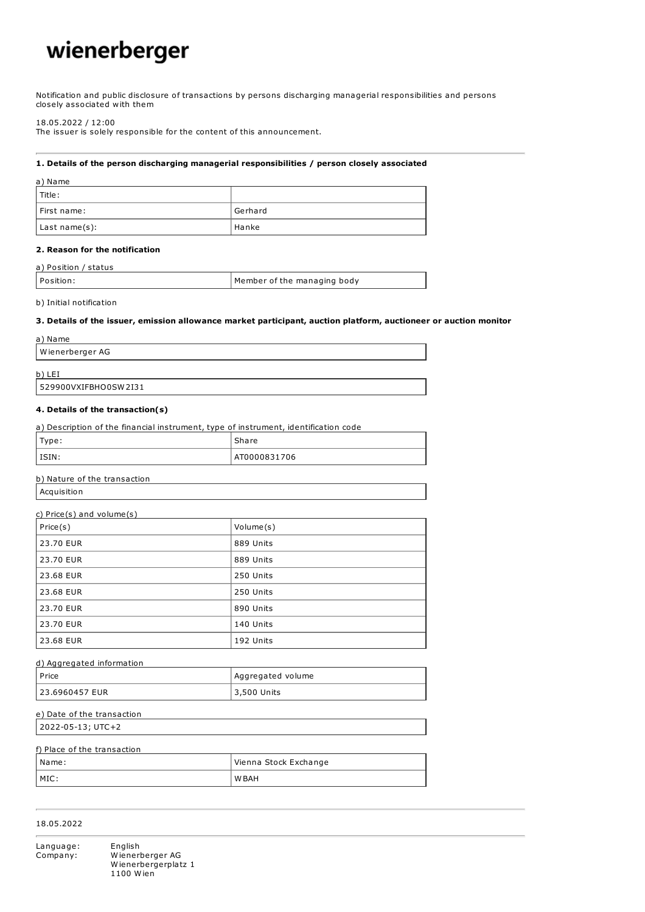# wienerberger

Notification and public disclosure of transactions by persons discharging managerial responsibilities and persons closely associated with them

#### 18.05.2022 / 12:00

The issuer is solely responsible for the content of this announcement.

## **1. Details of the person discharging managerial responsibilities / person closely associated**

| a) Name       |         |
|---------------|---------|
| l Title :     |         |
| First name:   | Gerhard |
| Last name(s): | Hanke   |

# **2. Reason for the notification**

| a) Position / status |                             |
|----------------------|-----------------------------|
| Position:            | Member of the managing body |

#### b) Initial notification

## **3. Details of the issuer, emission allowance market participant, auction platform, auctioneer or auction monitor**

| a) Name              |  |
|----------------------|--|
| Wienerberger AG      |  |
| b) LEI               |  |
| 529900VXIFBHO0SW2I31 |  |

#### **4. Details of the transaction(s)**

| a) Description of the financial instrument, type of instrument, identification code |              |
|-------------------------------------------------------------------------------------|--------------|
| Type:                                                                               | Share        |
| l ISIN:                                                                             | AT0000831706 |

# b) Nature of the transaction

Acquisition

| c) $Price(s)$ and $volume(s)$ |           |
|-------------------------------|-----------|
| Price(s)                      | Volume(s) |
| 23.70 EUR                     | 889 Units |
| 23.70 EUR                     | 889 Units |
| 23.68 EUR                     | 250 Units |
| 23.68 EUR                     | 250 Units |
| 23.70 EUR                     | 890 Units |
| 23.70 EUR                     | 140 Units |
| 23.68 EUR                     | 192 Units |

| d) Aggregated information |                    |
|---------------------------|--------------------|
| l Price                   | Aggregated volume  |
| l 23.6960457 EUR          | <b>3,500 Units</b> |

## e) Date of the transaction

2022-05-13; UTC+2

# f) Place of the transaction

| Name:   | Vienna Stock Exchange |
|---------|-----------------------|
| $IMC$ . | W BAH                 |

# 18.05.2022

Language: English